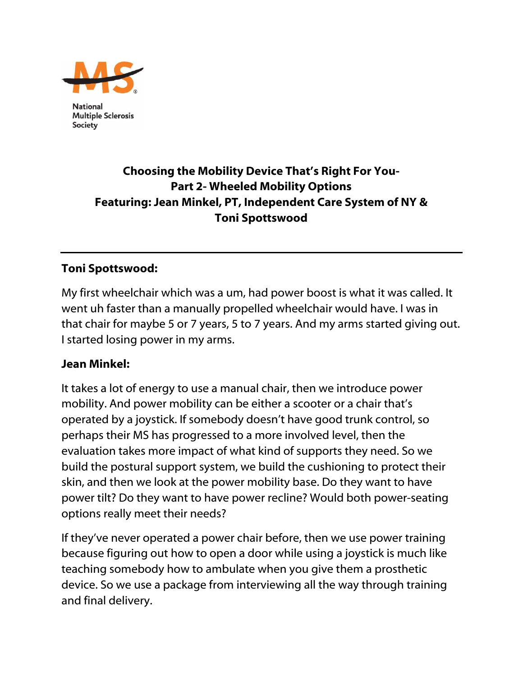

**National Multiple Sclerosis** Society

# Choosing the Mobility Device That's Right For You-Part 2- Wheeled Mobility Options Featuring: Jean Minkel, PT, Independent Care System of NY & Toni Spottswood

### Toni Spottswood:

My first wheelchair which was a um, had power boost is what it was called. It went uh faster than a manually propelled wheelchair would have. I was in that chair for maybe 5 or 7 years, 5 to 7 years. And my arms started giving out. I started losing power in my arms.

#### Jean Minkel:

It takes a lot of energy to use a manual chair, then we introduce power mobility. And power mobility can be either a scooter or a chair that's operated by a joystick. If somebody doesn't have good trunk control, so perhaps their MS has progressed to a more involved level, then the evaluation takes more impact of what kind of supports they need. So we build the postural support system, we build the cushioning to protect their skin, and then we look at the power mobility base. Do they want to have power tilt? Do they want to have power recline? Would both power-seating options really meet their needs?

If they've never operated a power chair before, then we use power training because figuring out how to open a door while using a joystick is much like teaching somebody how to ambulate when you give them a prosthetic device. So we use a package from interviewing all the way through training and final delivery.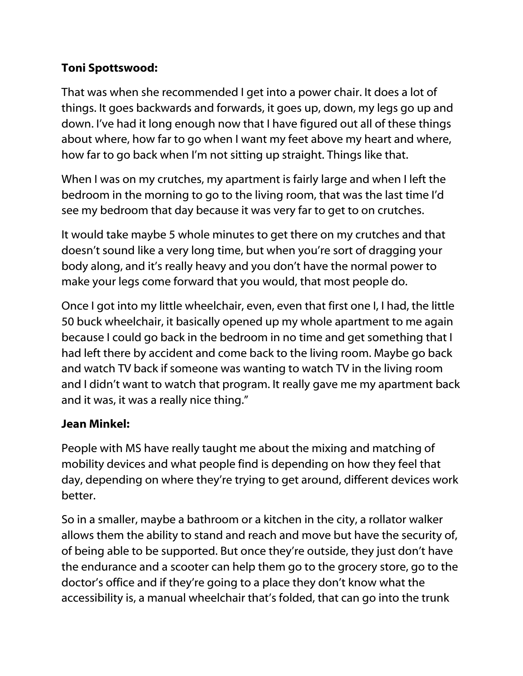## Toni Spottswood:

That was when she recommended I get into a power chair. It does a lot of things. It goes backwards and forwards, it goes up, down, my legs go up and down. I've had it long enough now that I have figured out all of these things about where, how far to go when I want my feet above my heart and where, how far to go back when I'm not sitting up straight. Things like that.

When I was on my crutches, my apartment is fairly large and when I left the bedroom in the morning to go to the living room, that was the last time I'd see my bedroom that day because it was very far to get to on crutches.

It would take maybe 5 whole minutes to get there on my crutches and that doesn't sound like a very long time, but when you're sort of dragging your body along, and it's really heavy and you don't have the normal power to make your legs come forward that you would, that most people do.

Once I got into my little wheelchair, even, even that first one I, I had, the little 50 buck wheelchair, it basically opened up my whole apartment to me again because I could go back in the bedroom in no time and get something that I had left there by accident and come back to the living room. Maybe go back and watch TV back if someone was wanting to watch TV in the living room and I didn't want to watch that program. It really gave me my apartment back and it was, it was a really nice thing."

# Jean Minkel:

People with MS have really taught me about the mixing and matching of mobility devices and what people find is depending on how they feel that day, depending on where they're trying to get around, different devices work better.

So in a smaller, maybe a bathroom or a kitchen in the city, a rollator walker allows them the ability to stand and reach and move but have the security of, of being able to be supported. But once they're outside, they just don't have the endurance and a scooter can help them go to the grocery store, go to the doctor's office and if they're going to a place they don't know what the accessibility is, a manual wheelchair that's folded, that can go into the trunk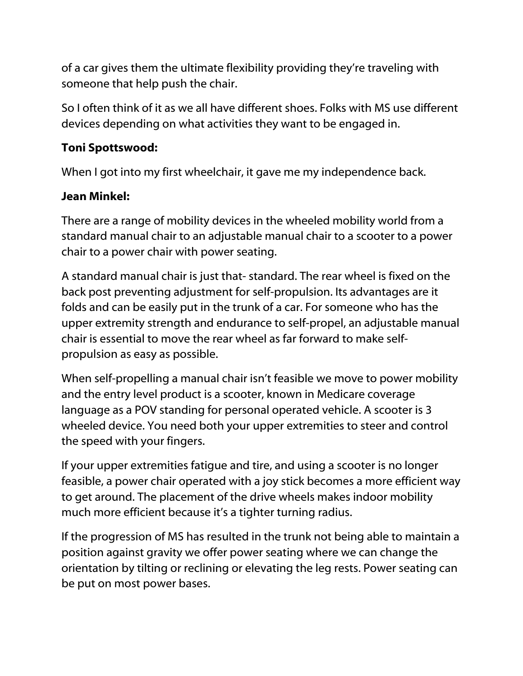of a car gives them the ultimate flexibility providing they're traveling with someone that help push the chair.

So I often think of it as we all have different shoes. Folks with MS use different devices depending on what activities they want to be engaged in.

# Toni Spottswood:

When I got into my first wheelchair, it gave me my independence back.

## Jean Minkel:

There are a range of mobility devices in the wheeled mobility world from a standard manual chair to an adjustable manual chair to a scooter to a power chair to a power chair with power seating.

A standard manual chair is just that- standard. The rear wheel is fixed on the back post preventing adjustment for self-propulsion. Its advantages are it folds and can be easily put in the trunk of a car. For someone who has the upper extremity strength and endurance to self-propel, an adjustable manual chair is essential to move the rear wheel as far forward to make selfpropulsion as easy as possible.

When self-propelling a manual chair isn't feasible we move to power mobility and the entry level product is a scooter, known in Medicare coverage language as a POV standing for personal operated vehicle. A scooter is 3 wheeled device. You need both your upper extremities to steer and control the speed with your fingers.

If your upper extremities fatigue and tire, and using a scooter is no longer feasible, a power chair operated with a joy stick becomes a more efficient way to get around. The placement of the drive wheels makes indoor mobility much more efficient because it's a tighter turning radius.

If the progression of MS has resulted in the trunk not being able to maintain a position against gravity we offer power seating where we can change the orientation by tilting or reclining or elevating the leg rests. Power seating can be put on most power bases.